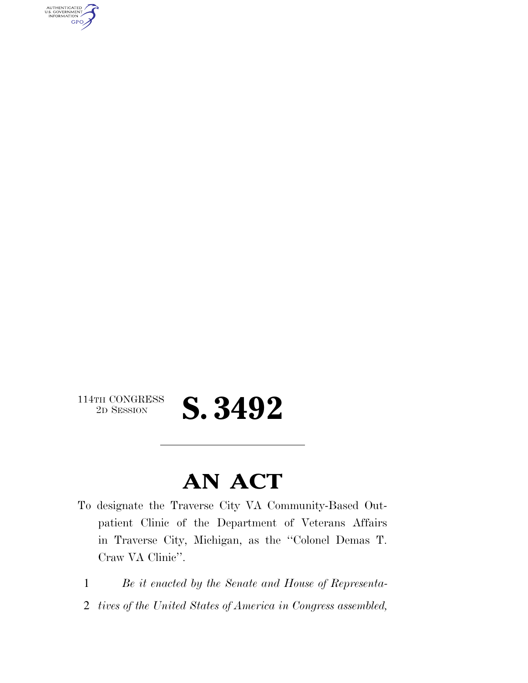AUTHENTICATED<br>U.S. GOVERNMENT<br>INFORMATION **GPO** 

 $\begin{array}{c} \textbf{114TH CONGRESS} \\ \textbf{2D SESION} \end{array}$ 

## 2D SESSION **S. 3492**

## **AN ACT**

- To designate the Traverse City VA Community-Based Outpatient Clinic of the Department of Veterans Affairs in Traverse City, Michigan, as the ''Colonel Demas T. Craw VA Clinic''.
- 1 *Be it enacted by the Senate and House of Representa-*
- 2 *tives of the United States of America in Congress assembled,*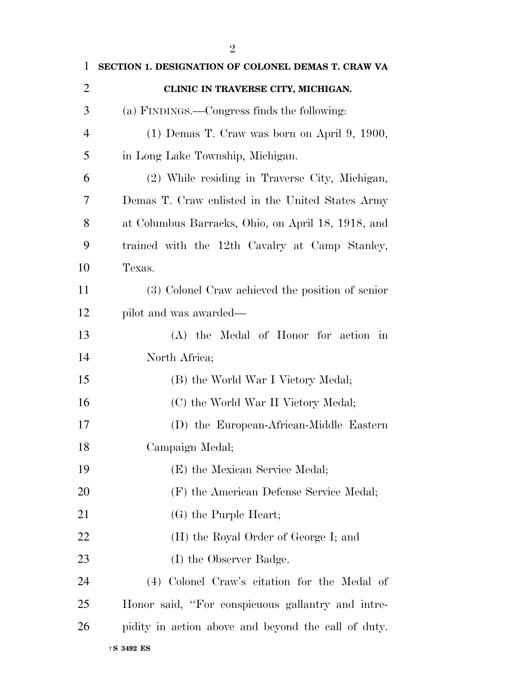| $\mathbf{1}$   | SECTION 1. DESIGNATION OF COLONEL DEMAS T. CRAW VA  |
|----------------|-----------------------------------------------------|
| $\overline{2}$ | CLINIC IN TRAVERSE CITY, MICHIGAN.                  |
| 3              | (a) FINDINGS.—Congress finds the following:         |
| 4              | $(1)$ Demas T. Craw was born on April 9, 1900,      |
| 5              | in Long Lake Township, Michigan.                    |
| 6              | (2) While residing in Traverse City, Michigan,      |
| 7              | Demas T. Craw enlisted in the United States Army    |
| 8              | at Columbus Barracks, Ohio, on April 18, 1918, and  |
| 9              | trained with the 12th Cavalry at Camp Stanley,      |
| 10             | Texas.                                              |
| 11             | (3) Colonel Craw achieved the position of senior    |
| 12             | pilot and was awarded—                              |
| 13             | (A) the Medal of Honor for action in                |
| 14             | North Africa;                                       |
| 15             | (B) the World War I Victory Medal;                  |
| 16             | (C) the World War II Victory Medal;                 |
| 17             | (D) the European-African-Middle Eastern             |
| 18             | Campaign Medal;                                     |
| 19             | (E) the Mexican Service Medal;                      |
| 20             | (F) the American Defense Service Medal;             |
| 21             | (G) the Purple Heart;                               |
| 22             | (H) the Royal Order of George I; and                |
| 23             | (I) the Observer Badge.                             |
| 24             | (4) Colonel Craw's citation for the Medal of        |
| 25             | Honor said, "For conspicuous gallantry and intre-   |
| 26             | pidity in action above and beyond the call of duty. |
|                |                                                     |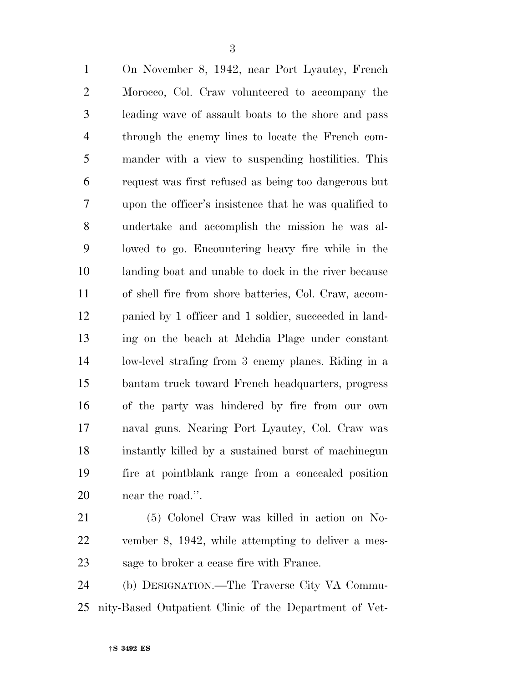On November 8, 1942, near Port Lyautey, French Morocco, Col. Craw volunteered to accompany the leading wave of assault boats to the shore and pass through the enemy lines to locate the French com- mander with a view to suspending hostilities. This request was first refused as being too dangerous but upon the officer's insistence that he was qualified to undertake and accomplish the mission he was al- lowed to go. Encountering heavy fire while in the landing boat and unable to dock in the river because of shell fire from shore batteries, Col. Craw, accom- panied by 1 officer and 1 soldier, succeeded in land- ing on the beach at Mehdia Plage under constant low-level strafing from 3 enemy planes. Riding in a bantam truck toward French headquarters, progress of the party was hindered by fire from our own naval guns. Nearing Port Lyautey, Col. Craw was instantly killed by a sustained burst of machinegun fire at pointblank range from a concealed position near the road.''.

 (5) Colonel Craw was killed in action on No- vember 8, 1942, while attempting to deliver a mes-sage to broker a cease fire with France.

 (b) DESIGNATION.—The Traverse City VA Commu-nity-Based Outpatient Clinic of the Department of Vet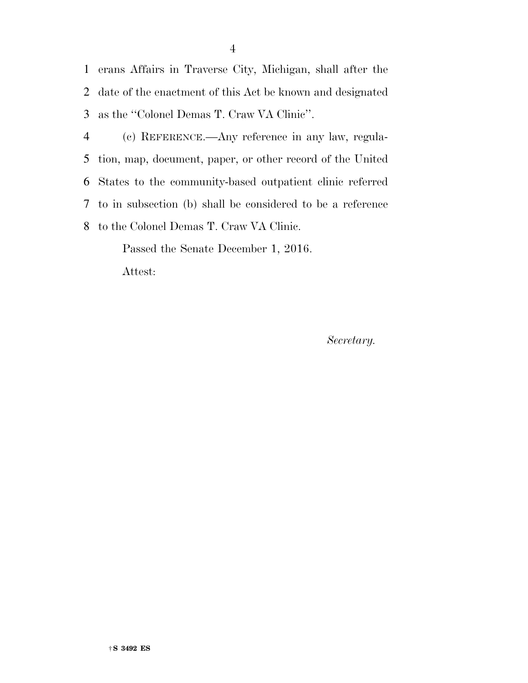erans Affairs in Traverse City, Michigan, shall after the date of the enactment of this Act be known and designated as the ''Colonel Demas T. Craw VA Clinic''.

 (c) REFERENCE.—Any reference in any law, regula- tion, map, document, paper, or other record of the United States to the community-based outpatient clinic referred to in subsection (b) shall be considered to be a reference to the Colonel Demas T. Craw VA Clinic.

> Passed the Senate December 1, 2016. Attest:

> > *Secretary.*